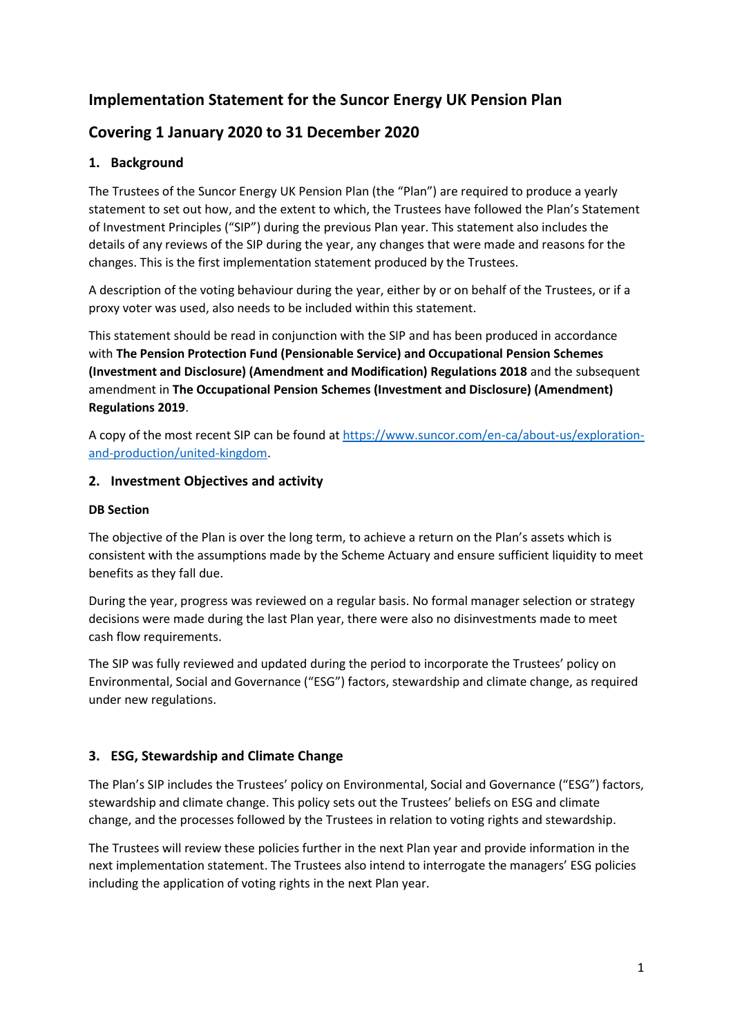# **Implementation Statement for the Suncor Energy UK Pension Plan**

# **Covering 1 January 2020 to 31 December 2020**

# **1. Background**

The Trustees of the Suncor Energy UK Pension Plan (the "Plan") are required to produce a yearly statement to set out how, and the extent to which, the Trustees have followed the Plan's Statement of Investment Principles ("SIP") during the previous Plan year. This statement also includes the details of any reviews of the SIP during the year, any changes that were made and reasons for the changes. This is the first implementation statement produced by the Trustees.

A description of the voting behaviour during the year, either by or on behalf of the Trustees, or if a proxy voter was used, also needs to be included within this statement.

This statement should be read in conjunction with the SIP and has been produced in accordance with **The Pension Protection Fund (Pensionable Service) and Occupational Pension Schemes (Investment and Disclosure) (Amendment and Modification) Regulations 2018** and the subsequent amendment in **The Occupational Pension Schemes (Investment and Disclosure) (Amendment) Regulations 2019**.

A copy of the most recent SIP can be found a[t https://www.suncor.com/en-ca/about-us/exploration](https://www.suncor.com/en-ca/about-us/exploration-and-production/united-kingdom)[and-production/united-kingdom.](https://www.suncor.com/en-ca/about-us/exploration-and-production/united-kingdom)

### **2. Investment Objectives and activity**

#### **DB Section**

The objective of the Plan is over the long term, to achieve a return on the Plan's assets which is consistent with the assumptions made by the Scheme Actuary and ensure sufficient liquidity to meet benefits as they fall due.

During the year, progress was reviewed on a regular basis. No formal manager selection or strategy decisions were made during the last Plan year, there were also no disinvestments made to meet cash flow requirements.

The SIP was fully reviewed and updated during the period to incorporate the Trustees' policy on Environmental, Social and Governance ("ESG") factors, stewardship and climate change, as required under new regulations.

## **3. ESG, Stewardship and Climate Change**

The Plan's SIP includes the Trustees' policy on Environmental, Social and Governance ("ESG") factors, stewardship and climate change. This policy sets out the Trustees' beliefs on ESG and climate change, and the processes followed by the Trustees in relation to voting rights and stewardship.

The Trustees will review these policies further in the next Plan year and provide information in the next implementation statement. The Trustees also intend to interrogate the managers' ESG policies including the application of voting rights in the next Plan year.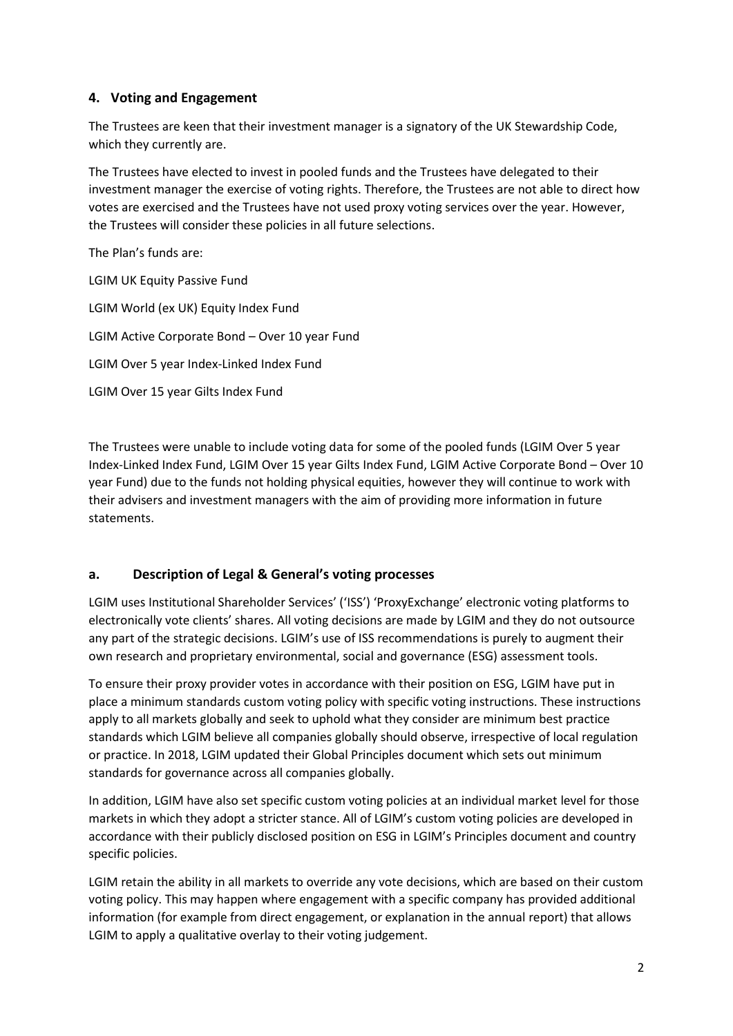### **4. Voting and Engagement**

The Trustees are keen that their investment manager is a signatory of the UK Stewardship Code, which they currently are.

The Trustees have elected to invest in pooled funds and the Trustees have delegated to their investment manager the exercise of voting rights. Therefore, the Trustees are not able to direct how votes are exercised and the Trustees have not used proxy voting services over the year. However, the Trustees will consider these policies in all future selections.

The Plan's funds are: LGIM UK Equity Passive Fund LGIM World (ex UK) Equity Index Fund LGIM Active Corporate Bond – Over 10 year Fund LGIM Over 5 year Index-Linked Index Fund LGIM Over 15 year Gilts Index Fund

The Trustees were unable to include voting data for some of the pooled funds (LGIM Over 5 year Index-Linked Index Fund, LGIM Over 15 year Gilts Index Fund, LGIM Active Corporate Bond – Over 10 year Fund) due to the funds not holding physical equities, however they will continue to work with their advisers and investment managers with the aim of providing more information in future statements.

#### **a. Description of Legal & General's voting processes**

LGIM uses Institutional Shareholder Services' ('ISS') 'ProxyExchange' electronic voting platforms to electronically vote clients' shares. All voting decisions are made by LGIM and they do not outsource any part of the strategic decisions. LGIM's use of ISS recommendations is purely to augment their own research and proprietary environmental, social and governance (ESG) assessment tools.

To ensure their proxy provider votes in accordance with their position on ESG, LGIM have put in place a minimum standards custom voting policy with specific voting instructions. These instructions apply to all markets globally and seek to uphold what they consider are minimum best practice standards which LGIM believe all companies globally should observe, irrespective of local regulation or practice. In 2018, LGIM updated their Global Principles document which sets out minimum standards for governance across all companies globally.

In addition, LGIM have also set specific custom voting policies at an individual market level for those markets in which they adopt a stricter stance. All of LGIM's custom voting policies are developed in accordance with their publicly disclosed position on ESG in LGIM's Principles document and country specific policies.

LGIM retain the ability in all markets to override any vote decisions, which are based on their custom voting policy. This may happen where engagement with a specific company has provided additional information (for example from direct engagement, or explanation in the annual report) that allows LGIM to apply a qualitative overlay to their voting judgement.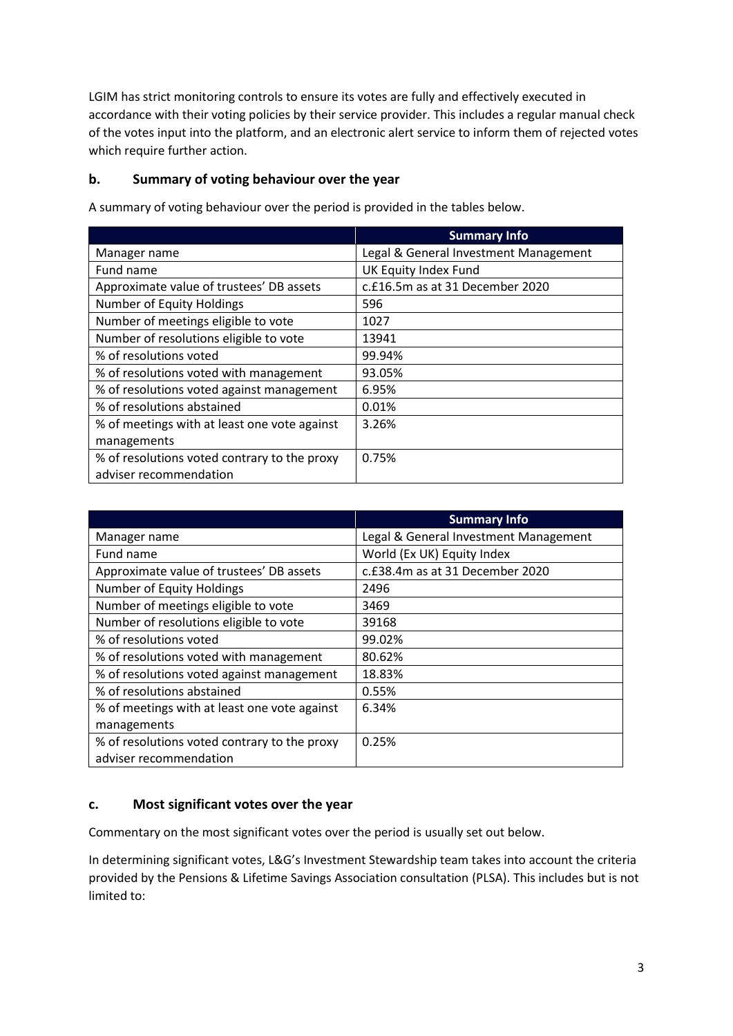LGIM has strict monitoring controls to ensure its votes are fully and effectively executed in accordance with their voting policies by their service provider. This includes a regular manual check of the votes input into the platform, and an electronic alert service to inform them of rejected votes which require further action.

### **b. Summary of voting behaviour over the year**

|                                              | <b>Summary Info</b>                   |
|----------------------------------------------|---------------------------------------|
| Manager name                                 | Legal & General Investment Management |
| Fund name                                    | UK Equity Index Fund                  |
| Approximate value of trustees' DB assets     | c.£16.5m as at 31 December 2020       |
| Number of Equity Holdings                    | 596                                   |
| Number of meetings eligible to vote          | 1027                                  |
| Number of resolutions eligible to vote       | 13941                                 |
| % of resolutions voted                       | 99.94%                                |
| % of resolutions voted with management       | 93.05%                                |
| % of resolutions voted against management    | 6.95%                                 |
| % of resolutions abstained                   | 0.01%                                 |
| % of meetings with at least one vote against | 3.26%                                 |
| managements                                  |                                       |
| % of resolutions voted contrary to the proxy | 0.75%                                 |
| adviser recommendation                       |                                       |

A summary of voting behaviour over the period is provided in the tables below.

|                                              | <b>Summary Info</b>                   |
|----------------------------------------------|---------------------------------------|
| Manager name                                 | Legal & General Investment Management |
| Fund name                                    | World (Ex UK) Equity Index            |
| Approximate value of trustees' DB assets     | c.£38.4m as at 31 December 2020       |
| <b>Number of Equity Holdings</b>             | 2496                                  |
| Number of meetings eligible to vote          | 3469                                  |
| Number of resolutions eligible to vote       | 39168                                 |
| % of resolutions voted                       | 99.02%                                |
| % of resolutions voted with management       | 80.62%                                |
| % of resolutions voted against management    | 18.83%                                |
| % of resolutions abstained                   | 0.55%                                 |
| % of meetings with at least one vote against | 6.34%                                 |
| managements                                  |                                       |
| % of resolutions voted contrary to the proxy | 0.25%                                 |
| adviser recommendation                       |                                       |

## **c. Most significant votes over the year**

Commentary on the most significant votes over the period is usually set out below.

In determining significant votes, L&G's Investment Stewardship team takes into account the criteria provided by the Pensions & Lifetime Savings Association consultation (PLSA). This includes but is not limited to: